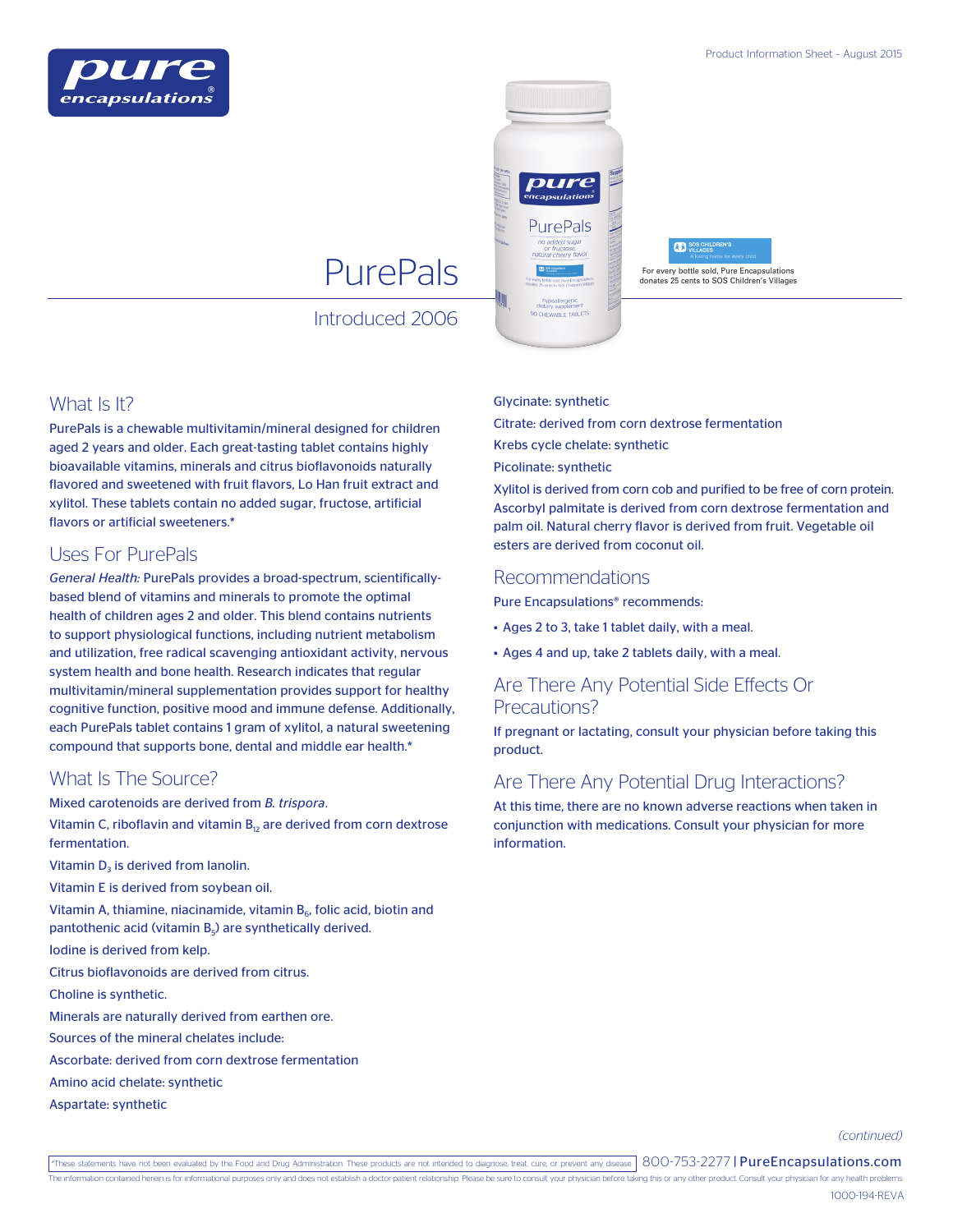





Introduced 2006

## What Is It?

PurePals is a chewable multivitamin/mineral designed for children aged 2 years and older. Each great-tasting tablet contains highly bioavailable vitamins, minerals and citrus bioflavonoids naturally flavored and sweetened with fruit flavors, Lo Han fruit extract and xylitol. These tablets contain no added sugar, fructose, artificial flavors or artificial sweeteners.\*

# Uses For PurePals

*General Health:* PurePals provides a broad-spectrum, scientificallybased blend of vitamins and minerals to promote the optimal health of children ages 2 and older. This blend contains nutrients to support physiological functions, including nutrient metabolism and utilization, free radical scavenging antioxidant activity, nervous system health and bone health. Research indicates that regular multivitamin/mineral supplementation provides support for healthy cognitive function, positive mood and immune defense. Additionally, each PurePals tablet contains 1 gram of xylitol, a natural sweetening compound that supports bone, dental and middle ear health.\*

## What Is The Source?

Mixed carotenoids are derived from *B. trispora*.

Vitamin C, riboflavin and vitamin  $B_{12}$  are derived from corn dextrose fermentation.

Vitamin  $D<sub>3</sub>$  is derived from lanolin.

Vitamin E is derived from soybean oil.

Vitamin A, thiamine, niacinamide, vitamin  $B_6$ , folic acid, biotin and pantothenic acid (vitamin  $B_5$ ) are synthetically derived.

Iodine is derived from kelp.

Citrus bioflavonoids are derived from citrus.

Choline is synthetic.

Minerals are naturally derived from earthen ore.

Sources of the mineral chelates include:

Ascorbate: derived from corn dextrose fermentation

Amino acid chelate: synthetic

Aspartate: synthetic

#### Glycinate: synthetic

Citrate: derived from corn dextrose fermentation

Krebs cycle chelate: synthetic

Picolinate: synthetic

Xylitol is derived from corn cob and purified to be free of corn protein. Ascorbyl palmitate is derived from corn dextrose fermentation and palm oil. Natural cherry flavor is derived from fruit. Vegetable oil esters are derived from coconut oil.

### Recommendations

Pure Encapsulations® recommends:

- Ages 2 to 3, take 1 tablet daily, with a meal.
- Ages 4 and up, take 2 tablets daily, with a meal.

## Are There Any Potential Side Effects Or Precautions?

If pregnant or lactating, consult your physician before taking this product.

## Are There Any Potential Drug Interactions?

At this time, there are no known adverse reactions when taken in conjunction with medications. Consult your physician for more information.